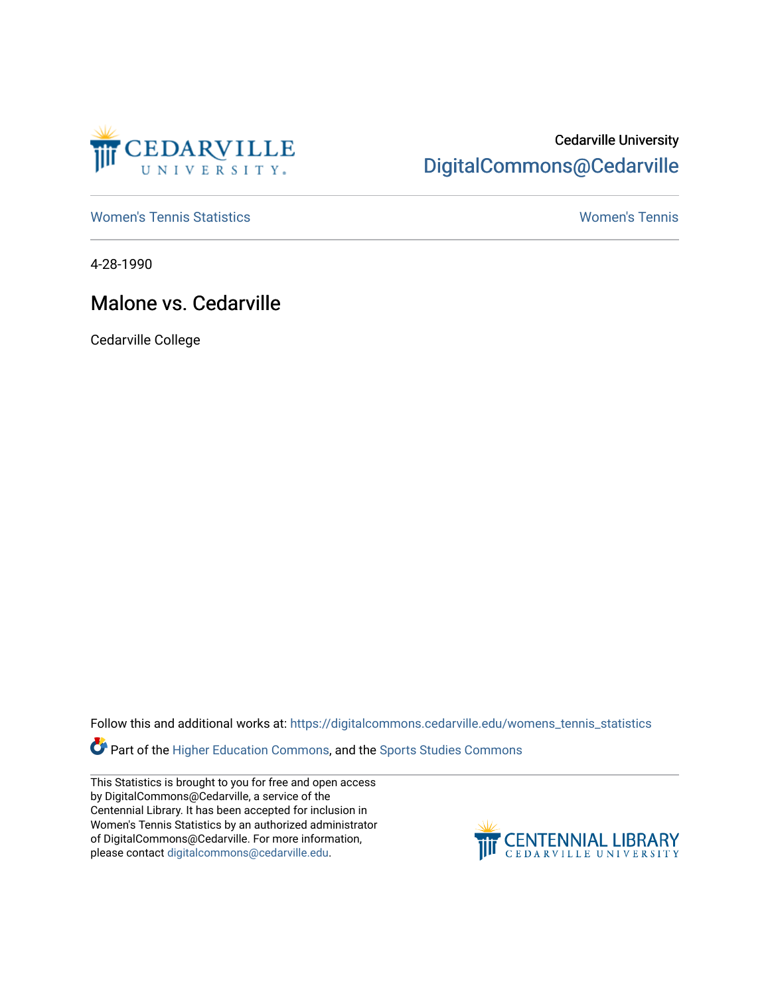

## Cedarville University [DigitalCommons@Cedarville](https://digitalcommons.cedarville.edu/)

[Women's Tennis Statistics](https://digitalcommons.cedarville.edu/womens_tennis_statistics) [Women's Tennis](https://digitalcommons.cedarville.edu/womens_tennis) 

4-28-1990

## Malone vs. Cedarville

Cedarville College

Follow this and additional works at: [https://digitalcommons.cedarville.edu/womens\\_tennis\\_statistics](https://digitalcommons.cedarville.edu/womens_tennis_statistics?utm_source=digitalcommons.cedarville.edu%2Fwomens_tennis_statistics%2F112&utm_medium=PDF&utm_campaign=PDFCoverPages) 

Part of the [Higher Education Commons,](http://network.bepress.com/hgg/discipline/1245?utm_source=digitalcommons.cedarville.edu%2Fwomens_tennis_statistics%2F112&utm_medium=PDF&utm_campaign=PDFCoverPages) and the [Sports Studies Commons](http://network.bepress.com/hgg/discipline/1198?utm_source=digitalcommons.cedarville.edu%2Fwomens_tennis_statistics%2F112&utm_medium=PDF&utm_campaign=PDFCoverPages) 

This Statistics is brought to you for free and open access by DigitalCommons@Cedarville, a service of the Centennial Library. It has been accepted for inclusion in Women's Tennis Statistics by an authorized administrator of DigitalCommons@Cedarville. For more information, please contact [digitalcommons@cedarville.edu](mailto:digitalcommons@cedarville.edu).